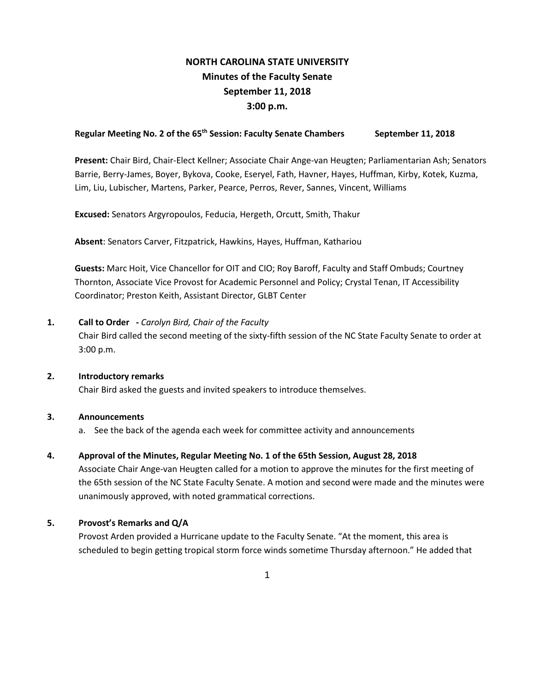# **NORTH CAROLINA STATE UNIVERSITY Minutes of the Faculty Senate September 11, 2018 3:00 p.m.**

# Regular Meeting No. 2 of the 65<sup>th</sup> Session: Faculty Senate Chambers September 11, 2018

**Present:** Chair Bird, Chair-Elect Kellner; Associate Chair Ange-van Heugten; Parliamentarian Ash; Senators Barrie, Berry-James, Boyer, Bykova, Cooke, Eseryel, Fath, Havner, Hayes, Huffman, Kirby, Kotek, Kuzma, Lim, Liu, Lubischer, Martens, Parker, Pearce, Perros, Rever, Sannes, Vincent, Williams

**Excused:** Senators Argyropoulos, Feducia, Hergeth, Orcutt, Smith, Thakur

**Absent**: Senators Carver, Fitzpatrick, Hawkins, Hayes, Huffman, Kathariou

**Guests:** Marc Hoit, Vice Chancellor for OIT and CIO; Roy Baroff, Faculty and Staff Ombuds; Courtney Thornton, Associate Vice Provost for Academic Personnel and Policy; Crystal Tenan, IT Accessibility Coordinator; Preston Keith, Assistant Director, GLBT Center

### **1. Call to Order -** *Carolyn Bird, Chair of the Faculty*

Chair Bird called the second meeting of the sixty-fifth session of the NC State Faculty Senate to order at 3:00 p.m.

**2. Introductory remarks**

Chair Bird asked the guests and invited speakers to introduce themselves.

### **3. Announcements**

a. See the back of the agenda each week for committee activity and announcements

# **4. Approval of the Minutes, Regular Meeting No. 1 of the 65th Session, August 28, 2018**

Associate Chair Ange-van Heugten called for a motion to approve the minutes for the first meeting of the 65th session of the NC State Faculty Senate. A motion and second were made and the minutes were unanimously approved, with noted grammatical corrections.

### **5. Provost's Remarks and Q/A**

Provost Arden provided a Hurricane update to the Faculty Senate. "At the moment, this area is scheduled to begin getting tropical storm force winds sometime Thursday afternoon." He added that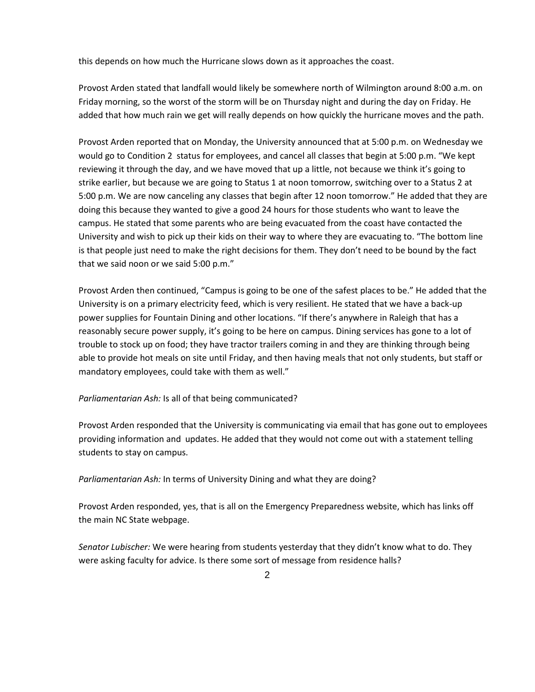this depends on how much the Hurricane slows down as it approaches the coast.

Provost Arden stated that landfall would likely be somewhere north of Wilmington around 8:00 a.m. on Friday morning, so the worst of the storm will be on Thursday night and during the day on Friday. He added that how much rain we get will really depends on how quickly the hurricane moves and the path.

Provost Arden reported that on Monday, the University announced that at 5:00 p.m. on Wednesday we would go to Condition 2 status for employees, and cancel all classes that begin at 5:00 p.m. "We kept reviewing it through the day, and we have moved that up a little, not because we think it's going to strike earlier, but because we are going to Status 1 at noon tomorrow, switching over to a Status 2 at 5:00 p.m. We are now canceling any classes that begin after 12 noon tomorrow." He added that they are doing this because they wanted to give a good 24 hours for those students who want to leave the campus. He stated that some parents who are being evacuated from the coast have contacted the University and wish to pick up their kids on their way to where they are evacuating to. "The bottom line is that people just need to make the right decisions for them. They don't need to be bound by the fact that we said noon or we said 5:00 p.m."

Provost Arden then continued, "Campus is going to be one of the safest places to be." He added that the University is on a primary electricity feed, which is very resilient. He stated that we have a back-up power supplies for Fountain Dining and other locations. "If there's anywhere in Raleigh that has a reasonably secure power supply, it's going to be here on campus. Dining services has gone to a lot of trouble to stock up on food; they have tractor trailers coming in and they are thinking through being able to provide hot meals on site until Friday, and then having meals that not only students, but staff or mandatory employees, could take with them as well."

### *Parliamentarian Ash:* Is all of that being communicated?

Provost Arden responded that the University is communicating via email that has gone out to employees providing information and updates. He added that they would not come out with a statement telling students to stay on campus.

*Parliamentarian Ash:* In terms of University Dining and what they are doing?

Provost Arden responded, yes, that is all on the Emergency Preparedness website, which has links off the main NC State webpage.

*Senator Lubischer:* We were hearing from students yesterday that they didn't know what to do. They were asking faculty for advice. Is there some sort of message from residence halls?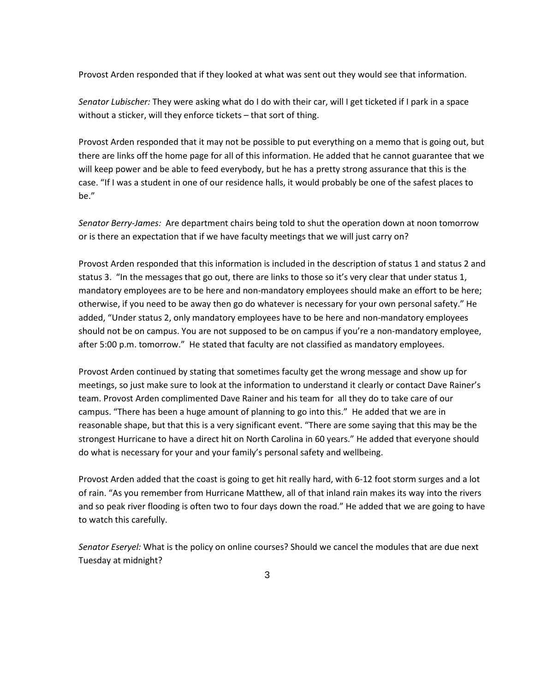Provost Arden responded that if they looked at what was sent out they would see that information.

*Senator Lubischer:* They were asking what do I do with their car, will I get ticketed if I park in a space without a sticker, will they enforce tickets – that sort of thing.

Provost Arden responded that it may not be possible to put everything on a memo that is going out, but there are links off the home page for all of this information. He added that he cannot guarantee that we will keep power and be able to feed everybody, but he has a pretty strong assurance that this is the case. "If I was a student in one of our residence halls, it would probably be one of the safest places to be."

*Senator Berry-James:* Are department chairs being told to shut the operation down at noon tomorrow or is there an expectation that if we have faculty meetings that we will just carry on?

Provost Arden responded that this information is included in the description of status 1 and status 2 and status 3. "In the messages that go out, there are links to those so it's very clear that under status 1, mandatory employees are to be here and non-mandatory employees should make an effort to be here; otherwise, if you need to be away then go do whatever is necessary for your own personal safety." He added, "Under status 2, only mandatory employees have to be here and non-mandatory employees should not be on campus. You are not supposed to be on campus if you're a non-mandatory employee, after 5:00 p.m. tomorrow." He stated that faculty are not classified as mandatory employees.

Provost Arden continued by stating that sometimes faculty get the wrong message and show up for meetings, so just make sure to look at the information to understand it clearly or contact Dave Rainer's team. Provost Arden complimented Dave Rainer and his team for all they do to take care of our campus. "There has been a huge amount of planning to go into this." He added that we are in reasonable shape, but that this is a very significant event. "There are some saying that this may be the strongest Hurricane to have a direct hit on North Carolina in 60 years." He added that everyone should do what is necessary for your and your family's personal safety and wellbeing.

Provost Arden added that the coast is going to get hit really hard, with 6-12 foot storm surges and a lot of rain. "As you remember from Hurricane Matthew, all of that inland rain makes its way into the rivers and so peak river flooding is often two to four days down the road." He added that we are going to have to watch this carefully.

*Senator Eseryel:* What is the policy on online courses? Should we cancel the modules that are due next Tuesday at midnight?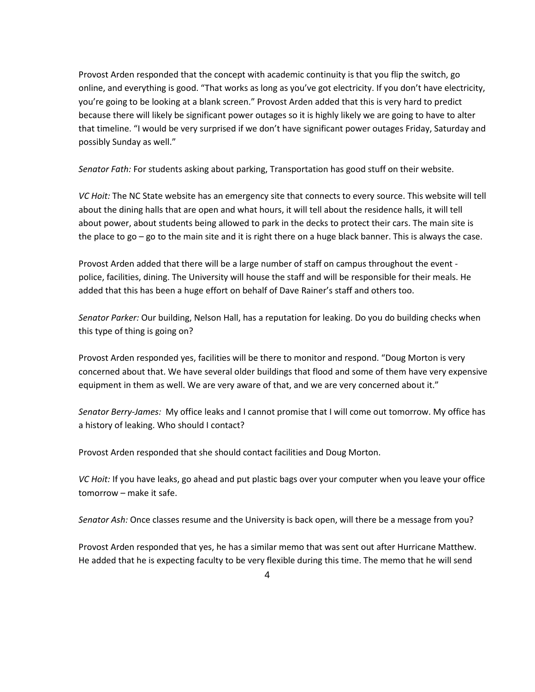Provost Arden responded that the concept with academic continuity is that you flip the switch, go online, and everything is good. "That works as long as you've got electricity. If you don't have electricity, you're going to be looking at a blank screen." Provost Arden added that this is very hard to predict because there will likely be significant power outages so it is highly likely we are going to have to alter that timeline. "I would be very surprised if we don't have significant power outages Friday, Saturday and possibly Sunday as well."

*Senator Fath:* For students asking about parking, Transportation has good stuff on their website.

*VC Hoit:* The NC State website has an emergency site that connects to every source. This website will tell about the dining halls that are open and what hours, it will tell about the residence halls, it will tell about power, about students being allowed to park in the decks to protect their cars. The main site is the place to go – go to the main site and it is right there on a huge black banner. This is always the case.

Provost Arden added that there will be a large number of staff on campus throughout the event police, facilities, dining. The University will house the staff and will be responsible for their meals. He added that this has been a huge effort on behalf of Dave Rainer's staff and others too.

*Senator Parker:* Our building, Nelson Hall, has a reputation for leaking. Do you do building checks when this type of thing is going on?

Provost Arden responded yes, facilities will be there to monitor and respond. "Doug Morton is very concerned about that. We have several older buildings that flood and some of them have very expensive equipment in them as well. We are very aware of that, and we are very concerned about it."

*Senator Berry-James:* My office leaks and I cannot promise that I will come out tomorrow. My office has a history of leaking. Who should I contact?

Provost Arden responded that she should contact facilities and Doug Morton.

*VC Hoit:* If you have leaks, go ahead and put plastic bags over your computer when you leave your office tomorrow – make it safe.

*Senator Ash:* Once classes resume and the University is back open, will there be a message from you?

Provost Arden responded that yes, he has a similar memo that was sent out after Hurricane Matthew. He added that he is expecting faculty to be very flexible during this time. The memo that he will send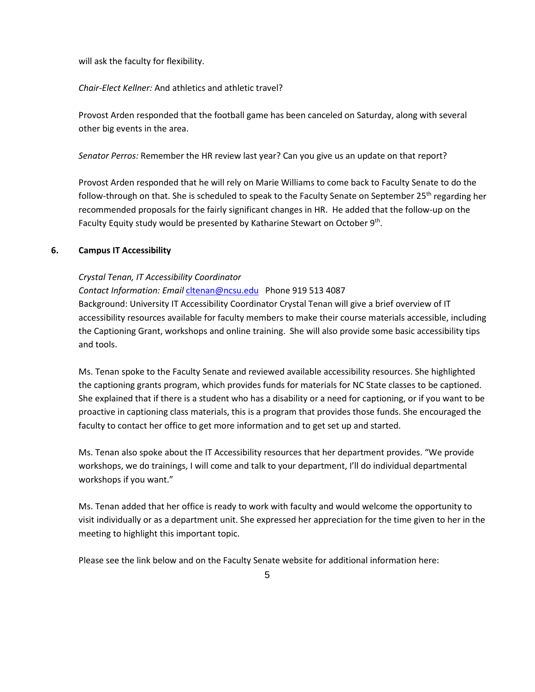will ask the faculty for flexibility.

*Chair-Elect Kellner:* And athletics and athletic travel?

Provost Arden responded that the football game has been canceled on Saturday, along with several other big events in the area.

*Senator Perros:* Remember the HR review last year? Can you give us an update on that report?

Provost Arden responded that he will rely on Marie Williams to come back to Faculty Senate to do the follow-through on that. She is scheduled to speak to the Faculty Senate on September 25<sup>th</sup> regarding her recommended proposals for the fairly significant changes in HR. He added that the follow-up on the Faculty Equity study would be presented by Katharine Stewart on October 9<sup>th</sup>.

# **6. Campus IT Accessibility**

# *Crystal Tenan, IT Accessibility Coordinator*

*Contact Information: Email* [cltenan@ncsu.edu](mailto:cltenan@ncsu.edu) Phone 919 513 4087 Background: University IT Accessibility Coordinator Crystal Tenan will give a brief overview of IT accessibility resources available for faculty members to make their course materials accessible, including the Captioning Grant, workshops and online training. She will also provide some basic accessibility tips and tools.

Ms. Tenan spoke to the Faculty Senate and reviewed available accessibility resources. She highlighted the captioning grants program, which provides funds for materials for NC State classes to be captioned. She explained that if there is a student who has a disability or a need for captioning, or if you want to be proactive in captioning class materials, this is a program that provides those funds. She encouraged the faculty to contact her office to get more information and to get set up and started.

Ms. Tenan also spoke about the IT Accessibility resources that her department provides. "We provide workshops, we do trainings, I will come and talk to your department, I'll do individual departmental workshops if you want."

Ms. Tenan added that her office is ready to work with faculty and would welcome the opportunity to visit individually or as a department unit. She expressed her appreciation for the time given to her in the meeting to highlight this important topic.

Please see the link below and on the Faculty Senate website for additional information here: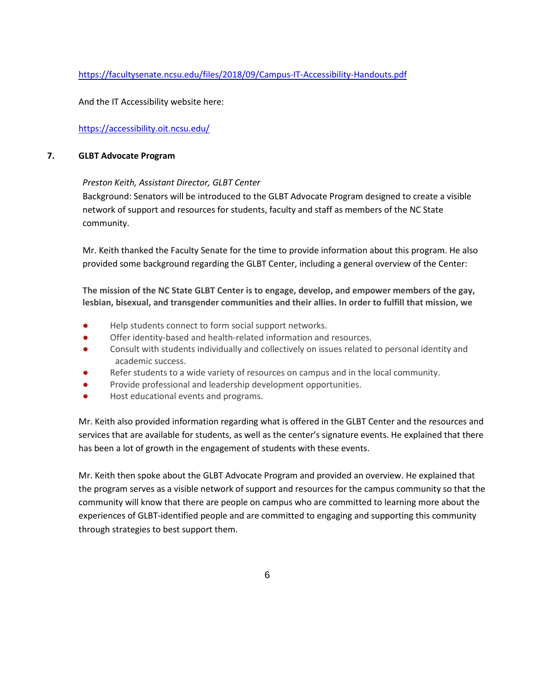# <https://facultysenate.ncsu.edu/files/2018/09/Campus-IT-Accessibility-Handouts.pdf>

And the IT Accessibility website here:

# <https://accessibility.oit.ncsu.edu/>

### **7. GLBT Advocate Program**

# *Preston Keith, Assistant Director, GLBT Center*

Background: Senators will be introduced to the GLBT Advocate Program designed to create a visible network of support and resources for students, faculty and staff as members of the NC State community.

Mr. Keith thanked the Faculty Senate for the time to provide information about this program. He also provided some background regarding the GLBT Center, including a general overview of the Center:

**The mission of the NC State GLBT Center is to engage, develop, and empower members of the gay, lesbian, bisexual, and transgender communities and their allies. In order to fulfill that mission, we**

- Help students connect to form social support networks.
- Offer identity-based and health-related information and resources.
- Consult with students individually and collectively on issues related to personal identity and academic success.
- Refer students to a wide variety of resources on campus and in the local community.
- Provide professional and leadership development opportunities.
- Host educational events and programs.

Mr. Keith also provided information regarding what is offered in the GLBT Center and the resources and services that are available for students, as well as the center's signature events. He explained that there has been a lot of growth in the engagement of students with these events.

Mr. Keith then spoke about the GLBT Advocate Program and provided an overview. He explained that the program serves as a visible network of support and resources for the campus community so that the community will know that there are people on campus who are committed to learning more about the experiences of GLBT-identified people and are committed to engaging and supporting this community through strategies to best support them.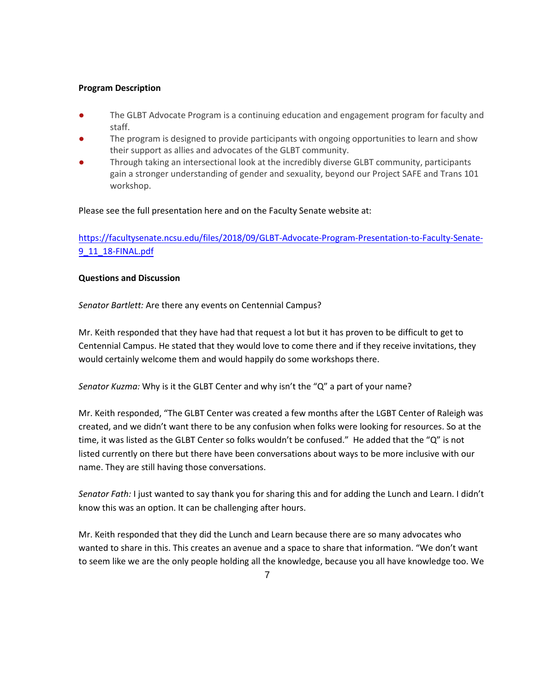### **Program Description**

- The GLBT Advocate Program is a continuing education and engagement program for faculty and staff.
- The program is designed to provide participants with ongoing opportunities to learn and show their support as allies and advocates of the GLBT community.
- Through taking an intersectional look at the incredibly diverse GLBT community, participants gain a stronger understanding of gender and sexuality, beyond our Project SAFE and Trans 101 workshop.

# Please see the full presentation here and on the Faculty Senate website at:

[https://facultysenate.ncsu.edu/files/2018/09/GLBT-Advocate-Program-Presentation-to-Faculty-Senate-](https://facultysenate.ncsu.edu/files/2018/09/GLBT-Advocate-Program-Presentation-to-Faculty-Senate-9_11_18-FINAL.pdf)[9\\_11\\_18-FINAL.pdf](https://facultysenate.ncsu.edu/files/2018/09/GLBT-Advocate-Program-Presentation-to-Faculty-Senate-9_11_18-FINAL.pdf)

### **Questions and Discussion**

*Senator Bartlett:* Are there any events on Centennial Campus?

Mr. Keith responded that they have had that request a lot but it has proven to be difficult to get to Centennial Campus. He stated that they would love to come there and if they receive invitations, they would certainly welcome them and would happily do some workshops there.

*Senator Kuzma:* Why is it the GLBT Center and why isn't the "Q" a part of your name?

Mr. Keith responded, "The GLBT Center was created a few months after the LGBT Center of Raleigh was created, and we didn't want there to be any confusion when folks were looking for resources. So at the time, it was listed as the GLBT Center so folks wouldn't be confused." He added that the "Q" is not listed currently on there but there have been conversations about ways to be more inclusive with our name. They are still having those conversations.

*Senator Fath:* I just wanted to say thank you for sharing this and for adding the Lunch and Learn. I didn't know this was an option. It can be challenging after hours.

Mr. Keith responded that they did the Lunch and Learn because there are so many advocates who wanted to share in this. This creates an avenue and a space to share that information. "We don't want to seem like we are the only people holding all the knowledge, because you all have knowledge too. We